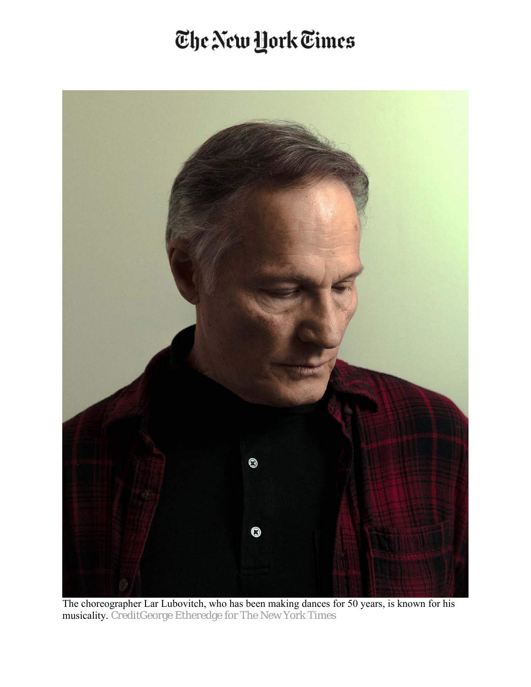# The New York Times



The choreographer Lar Lubovitch, who has been making dances for 50 years, is known for his musicality. CreditGeorge Etheredge for The New York Times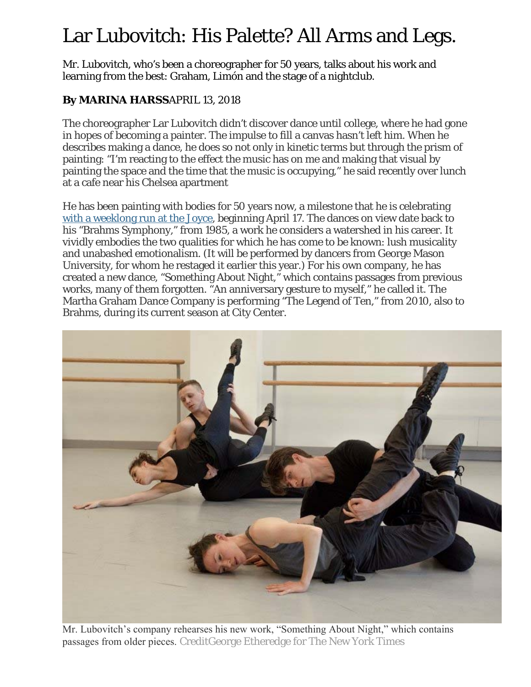## Lar Lubovitch: His Palette? All Arms and Legs.

Mr. Lubovitch, who's been a choreographer for 50 years, talks about his work and learning from the best: Graham, Limón and the stage of a nightclub.

### **By MARINA HARSS**APRIL 13, 2018

The choreographer Lar Lubovitch didn't discover dance until college, where he had gone in hopes of becoming a painter. The impulse to fill a canvas hasn't left him. When he describes making a dance, he does so not only in kinetic terms but through the prism of painting: "I'm reacting to the effect the music has on me and making that visual by painting the space and the time that the music is occupying," he said recently over lunch at a cafe near his Chelsea apartment

He has been painting with bodies for 50 years now, a milestone that he is celebrating with a weeklong run at the Joyce, beginning April 17. The dances on view date back to his "Brahms Symphony," from 1985, a work he considers a watershed in his career. It vividly embodies the two qualities for which he has come to be known: lush musicality and unabashed emotionalism. (It will be performed by dancers from George Mason University, for whom he restaged it earlier this year.) For his own company, he has created a new dance, "Something About Night," which contains passages from previous works, many of them forgotten. "An anniversary gesture to myself," he called it. The Martha Graham Dance Company is performing "The Legend of Ten," from 2010, also to Brahms, during its current season at City Center.



Mr. Lubovitch's company rehearses his new work, "Something About Night," which contains passages from older pieces. CreditGeorge Etheredge for The New York Times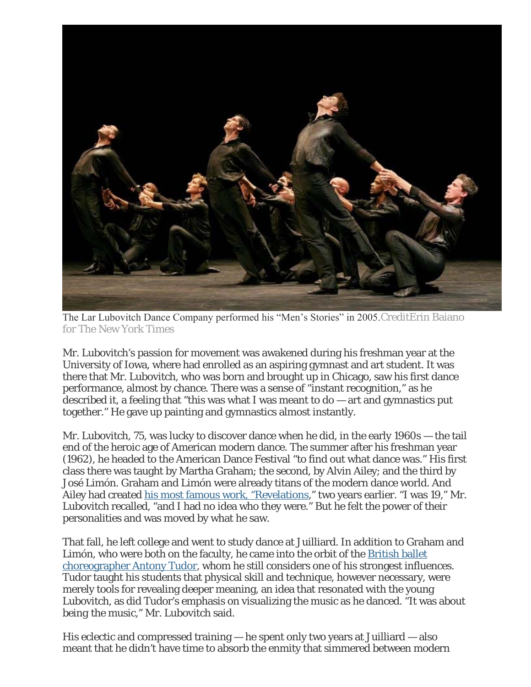

The Lar Lubovitch Dance Company performed his "Men's Stories" in 2005.CreditErin Baiano for The New York Times

Mr. Lubovitch's passion for movement was awakened during his freshman year at the University of Iowa, where had enrolled as an aspiring gymnast and art student. It was there that Mr. Lubovitch, who was born and brought up in Chicago, saw his first dance performance, almost by chance. There was a sense of "instant recognition," as he described it, a feeling that "this was what I was meant to  $do - art$  and gymnastics put together." He gave up painting and gymnastics almost instantly.

Mr. Lubovitch, 75, was lucky to discover dance when he did, in the early 1960s — the tail end of the heroic age of American modern dance. The summer after his freshman year (1962), he headed to the American Dance Festival "to find out what dance was." His first class there was taught by Martha Graham; the second, by Alvin Ailey; and the third by José Limón. Graham and Limón were already titans of the modern dance world. And Ailey had created his most famous work, "Revelations," two years earlier. "I was 19," Mr. Lubovitch recalled, "and I had no idea who they were." But he felt the power of their personalities and was moved by what he saw.

That fall, he left college and went to study dance at Juilliard. In addition to Graham and Limón, who were both on the faculty, he came into the orbit of the British ballet choreographer Antony Tudor, whom he still considers one of his strongest influences. Tudor taught his students that physical skill and technique, however necessary, were merely tools for revealing deeper meaning, an idea that resonated with the young Lubovitch, as did Tudor's emphasis on visualizing the music as he danced. "It was about *being* the music," Mr. Lubovitch said.

His eclectic and compressed training — he spent only two years at Juilliard — also meant that he didn't have time to absorb the enmity that simmered between modern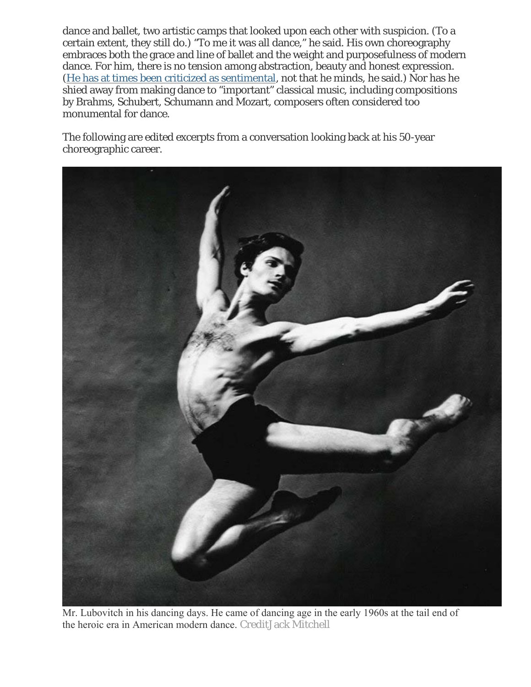dance and ballet, two artistic camps that looked upon each other with suspicion. (To a certain extent, they still do.) "To me it was all dance," he said. His own choreography embraces both the grace and line of ballet and the weight and purposefulness of modern dance. For him, there is no tension among abstraction, beauty and honest expression. (He has at times been criticized as sentimental, not that he minds, he said.) Nor has he shied away from making dance to "important" classical music, including compositions by Brahms, Schubert, Schumann and Mozart, composers often considered too monumental for dance.

The following are edited excerpts from a conversation looking back at his 50-year choreographic career.



Mr. Lubovitch in his dancing days. He came of dancing age in the early 1960s at the tail end of the heroic era in American modern dance. CreditJack Mitchell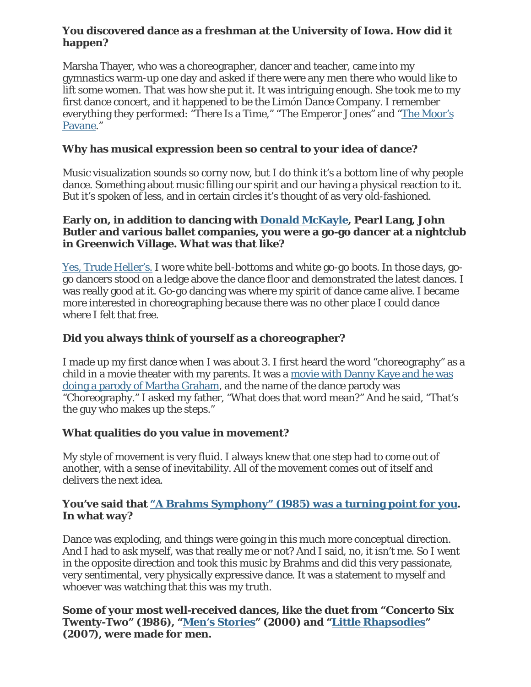#### **You discovered dance as a freshman at the University of Iowa. How did it happen?**

Marsha Thayer, who was a choreographer, dancer and teacher, came into my gymnastics warm-up one day and asked if there were any men there who would like to lift some women. That was how she put it. It was intriguing enough. She took me to my first dance concert, and it happened to be the Limón Dance Company. I remember everything they performed: "There Is a Time," "The Emperor Jones" and "The Moor's Pavane."

#### **Why has musical expression been so central to your idea of dance?**

Music visualization sounds so corny now, but I do think it's a bottom line of why people dance. Something about music filling our spirit and our having a physical reaction to it. But it's spoken of less, and in certain circles it's thought of as very old-fashioned.

#### **Early on, in addition to dancing with Donald McKayle, Pearl Lang, John Butler and various ballet companies, you were a go-go dancer at a nightclub in Greenwich Village. What was that like?**

Yes, Trude Heller's. I wore white bell-bottoms and white go-go boots. In those days, gogo dancers stood on a ledge above the dance floor and demonstrated the latest dances. I was really good at it. Go-go dancing was where my spirit of dance came alive. I became more interested in choreographing because there was no other place I could dance where I felt that free.

#### **Did you always think of yourself as a choreographer?**

I made up my first dance when I was about 3. I first heard the word "choreography" as a child in a movie theater with my parents. It was a movie with Danny Kaye and he was doing a parody of Martha Graham, and the name of the dance parody was "Choreography." I asked my father, "What does that word mean?" And he said, "That's the guy who makes up the steps."

#### **What qualities do you value in movement?**

My style of movement is very fluid. I always knew that one step had to come out of another, with a sense of inevitability. All of the movement comes out of itself and delivers the next idea.

#### **You've said that "A Brahms Symphony" (1985) was a turning point for you. In what way?**

Dance was exploding, and things were going in this much more conceptual direction. And I had to ask myself, was that really me or not? And I said, no, it isn't me. So I went in the opposite direction and took this music by Brahms and did this very passionate, very sentimental, very physically expressive dance. It was a statement to myself and whoever was watching that this was my truth.

#### **Some of your most well-received dances, like the duet from "Concerto Six Twenty-Two" (1986), "Men's Stories" (2000) and "Little Rhapsodies" (2007), were made for men.**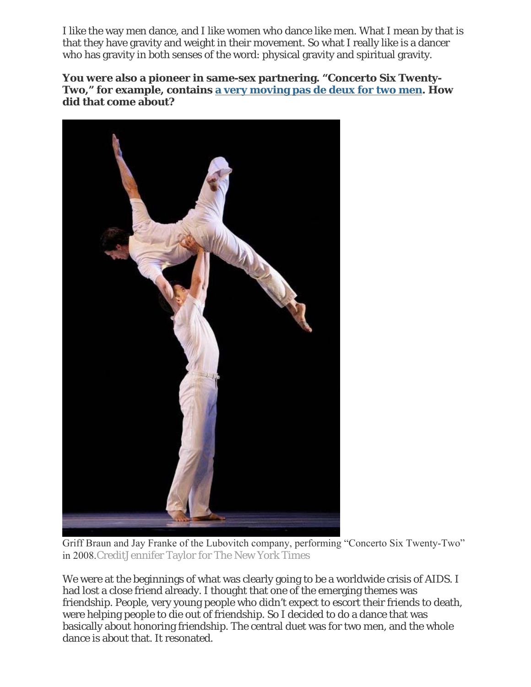I like the way men dance, and I like women who dance like men. What I mean by that is that they have gravity and weight in their movement. So what I really like is a dancer who has gravity in both senses of the word: physical gravity and spiritual gravity.

**You were also a pioneer in same-sex partnering. "Concerto Six Twenty-Two," for example, contains a very moving pas de deux for two men. How did that come about?** 



Griff Braun and Jay Franke of the Lubovitch company, performing "Concerto Six Twenty-Two" in 2008.CreditJennifer Taylor for The New York Times

We were at the beginnings of what was clearly going to be a worldwide crisis of AIDS. I had lost a close friend already. I thought that one of the emerging themes was friendship. People, very young people who didn't expect to escort their friends to death, were helping people to die out of friendship. So I decided to do a dance that was basically about honoring friendship. The central duet was for two men, and the whole dance is about that. It resonated.